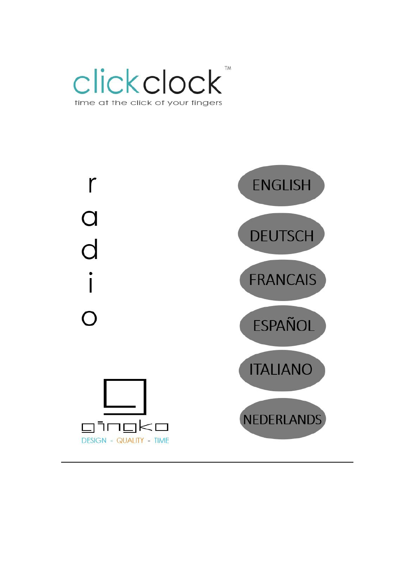

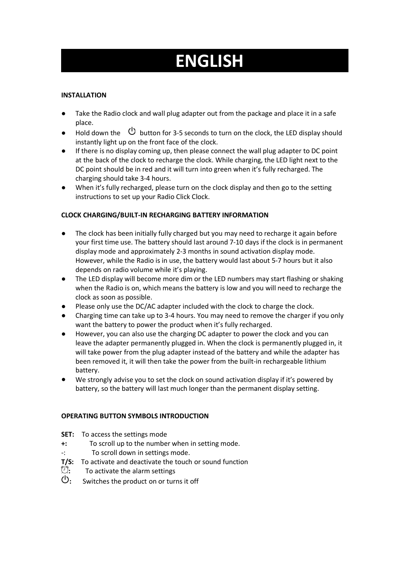# **ENGLISH**

# **INSTALLATION**

- Take the Radio clock and wall plug adapter out from the package and place it in a safe place.
- Hold down the  $\circled{0}$  button for 3-5 seconds to turn on the clock, the LED display should instantly light up on the front face of the clock.
- If there is no display coming up, then please connect the wall plug adapter to DC point at the back of the clock to recharge the clock. While charging, the LED light next to the DC point should be in red and it will turn into green when it's fully recharged. The charging should take 3-4 hours.
- When it's fully recharged, please turn on the clock display and then go to the setting instructions to set up your Radio Click Clock.

# **CLOCK CHARGING/BUILT-IN RECHARGING BATTERY INFORMATION**

- The clock has been initially fully charged but you may need to recharge it again before your first time use. The battery should last around 7-10 days if the clock is in permanent display mode and approximately 2-3 months in sound activation display mode. However, while the Radio is in use, the battery would last about 5-7 hours but it also depends on radio volume while it's playing.
- The LED displaywill become more dim orthe LED numbers may start flashing or shaking when the Radio is on, which means the battery is low and you will need to recharge the clock as soon as possible.
- Please only use the DC/AC adapter included with the clock to charge the clock.
- Charging time can take up to 3-4 hours. You may need to remove the charger if you only want the battery to power the product when it's fully recharged.
- However, you can also use the charging DC adapter to power the clock and you can leave the adapter permanently plugged in. When the clock is permanently plugged in, it will take power from the plug adapter instead of the battery and while the adapter has been removed it, it will then take the powerfrom the built-in rechargeable lithium battery.
- We strongly advise you to set the clock on sound activation display if it's powered by battery, so the battery will last much longer than the permanent display setting.

# **OPERATING BUTTON SYMBOLS INTRODUCTION**

- **SET:** To access the settings mode
- **+:** To scroll up to the number when in setting mode.
- -: To scroll down in settings mode.
- **T/S:** To activate and deactivate the touch or sound function
- <sup>1</sup>2: To activate the alarm settings<br>**<sup>1</sup>** Switches the product on or turing
- **:** Switches the product on or turns it off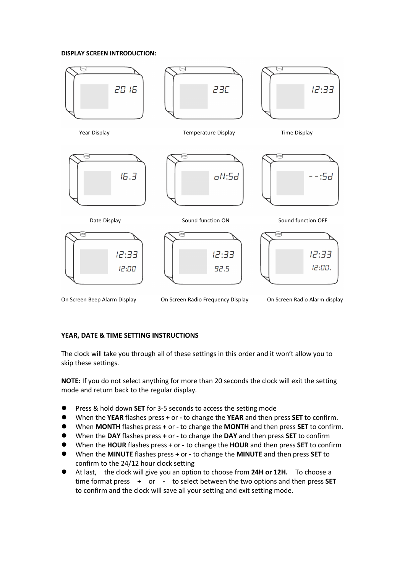#### **DISPLAY SCREEN INTRODUCTION:**



On Screen Beep Alarm Display On Screen Radio Frequency Display On Screen Radio Alarm display

#### **YEAR, DATE & TIME SETTING INSTRUCTIONS**

The clock will take you through all of these settings in this order and it won't allow you to skip these settings.

**NOTE:** If you do not select anything for more than 20 seconds the clock will exit the setting mode and return back to the regular display.

- **Press & hold down SET** for 3-5 seconds to access the setting mode
- When the **YEAR** flashes press **+** or **-** to change the **YEAR** and then press **SET** to confirm.
- When **MONTH** flashes press **+** or **-** to change the **MONTH** and then press **SET** to confirm.
- When the **DAY** flashes press **+** or **-** to change the **DAY** and then press **SET** to confirm
- When the **HOUR** flashes press + or **-** to change the **HOUR** and then press **SET** to confirm
- When the **MINUTE** flashes press **+** or **-** to change the **MINUTE** and then press **SET** to confirm to the 24/12 hour clock setting
- At last, the clock will give you an option to choose from **24H or 12H.** To choose a time format press **+** or **-** to select between the two options and then press **SET** to confirm and the clock will save all your setting and exit setting mode.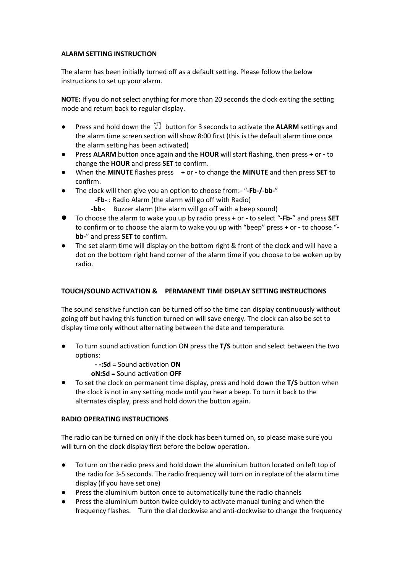#### **ALARM SETTING INSTRUCTION**

The alarm has been initially turned off as a default setting. Please follow the below instructions to set up your alarm.

**NOTE:** If you do not select anything for more than 20 seconds the clock exiting the setting mode and return back to regular display.

- **•** Press and hold down the  $\mathbb{C}^3$  button for 3 seconds to activate the **ALARM** settings and the alarm time screen section will show 8:00 first (this is the default alarm time once the alarm setting has been activated)
- Press **ALARM** button once again and the **HOUR** will start flashing, then press **+** or **-** to change the **HOUR** and press **SET** to confirm.
- When the **MINUTE** flashes press **+** or **-** to change the **MINUTE** and then press **SET** to confirm.
- The clock will then give you an option to choose from:- "**-Fb-/-bb-**"
	- **-Fb-** : Radio Alarm (the alarm will go off with Radio)
	- **-bb-**: Buzzer alarm (the alarm will go off with a beep sound)
- To choose the alarm to wake you up by radio press **+** or **-** to select "**-Fb-**" and press **SET** to confirm or to choose the alarm to wake youup with "beep" press **+** or **-** to choose " **bb-**" and press **SET** to confirm.
- The set alarm time will display on the bottom right & front of the clock and will have a dot on the bottom right hand corner of the alarm time if you choose to be woken up by radio.

# **TOUCH/SOUND ACTIVATION & PERMANENT TIME DISPLAY SETTING INSTRUCTIONS**

The sound sensitive function can be turned off so the time can display continuously without going off but having this function turned on will save energy. The clock can also be set to display time only without alternating between the date and temperature.

- To turn sound activation function ON press the T/S button and select between the two options:
	- **- -:Sd** =Sound activation **ON**

**oN:Sd** = Sound activation OFF

To set the clock on permanent time display, press and hold down the **T/S** button when the clock is not in any setting mode until you hear a beep. To turn it back to the alternates display, press and hold down the button again.

# **RADIO OPERATING INSTRUCTIONS**

The radio can be turned on only if the clock has been turned on, so please make sure you will turn on the clock display first before the below operation.

- To turn on the radio press and hold down the aluminium button located on left top of the radio for 3-5 seconds. The radio frequency will turn on in replace of the alarm time display (if you have setone)
- Press the aluminium button once to automatically tune the radio channels
- Press the aluminium button twice quickly to activate manual tuning and when the frequency flashes. Turn the dial clockwise and anti-clockwise to change the frequency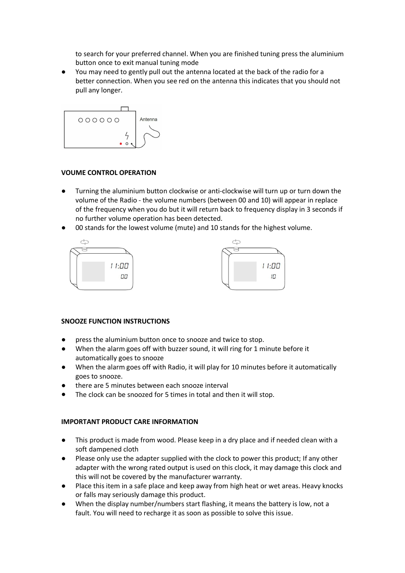to search for your preferred channel. When you are finished tuning press the aluminium button once to exit manual tuning mode

● You may need to gently pull out the antenna located at the back of the radio for a better connection. When you see red on the antenna this indicates that you should not pull any longer.



#### **VOUME CONTROL OPERATION**

- Turning the aluminium button clockwise or anti-clockwise will turn up or turn down the volume of the Radio - the volume numbers (between 00 and 10) will appear in replace of the frequency when you do but itwill return back to frequency display in 3 seconds if no further volume operation has been detected.
- 00 stands for the lowest volume (mute) and 10 stands for the highest volume.



# **SNOOZE FUNCTION INSTRUCTIONS**

- press the aluminium button once to snooze and twice to stop.
- When the alarm goes off with buzzer sound, it will ring for 1 minute before it automatically goes to snooze
- When the alarm goes off with Radio, it will play for 10 minutes before it automatically goes to snooze.
- there are 5 minutes between each snooze interval
- The clock can be snoozed for 5 times in total and then it will stop.

# **IMPORTANT PRODUCT CARE INFORMATION**

- This product is made from wood. Please keep in a dry place and if needed clean with a soft dampened cloth
- Please only use the adapter supplied with the clock to power this product; If any other adapter with the wrong rated output is used on this clock, it may damage this clock and this will not be covered by the manufacturer warranty.
- Place this item in a safe place and keep away from high heat or wet areas. Heavy knocks or falls may seriously damage this product.
- When the display number/numbers start flashing, it means the battery is low, not a fault. You will need to recharge it as soon as possible to solve this issue.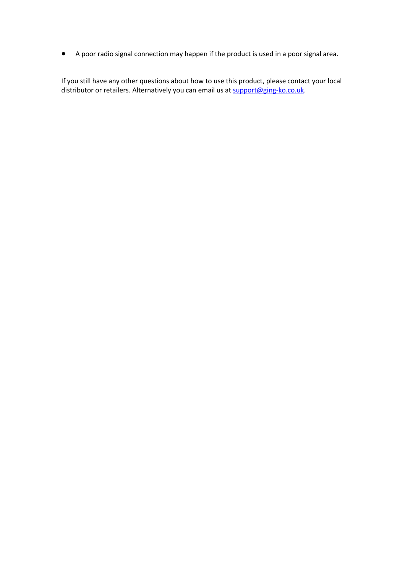● A poor radio signal connection may happen if the product is used in a poor signal area.

If you still have any other questions about how to use this product, please contact your local distributor or retailers. Alternatively you can email us at [support@ging-ko.co.uk.](mailto:support@ging-ko.co.uk)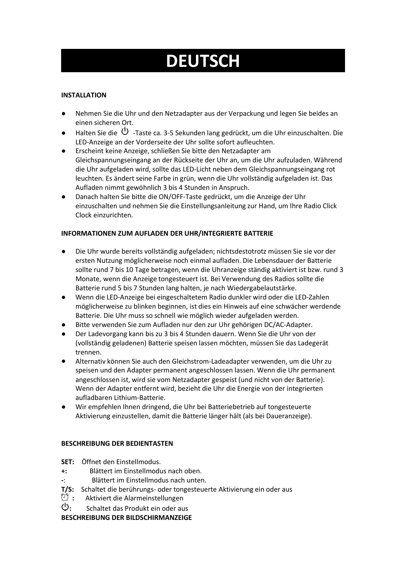# **DEUTSCH**

# **INSTALLATION**

- Nehmen Sie die Uhr und den Netzadapter aus der Verpackung und legen Sie beides an einen sicheren Ort.
- Halten Sie die  $\circledcup$  -Taste ca. 3-5 Sekunden lang gedrückt, um die Uhr einzuschalten. Die LED-Anzeige an der Vorderseite der Uhr sollte sofort aufleuchten.
- Erscheint keine Anzeige, schließen Sie bitte den Netzadapter am Gleichspannungseingang an der Rückseite der Uhr an, um die Uhr aufzuladen. Während die Uhr aufgeladen wird, sollte das LED-Licht neben dem Gleichspannungseingang rot leuchten. Es ändert seine Farbe in grün, wenn die Uhr vollständig aufgeladen ist. Das Aufladen nimmt gewöhnlich 3 bis 4 Stunden in Anspruch.
- Danach halten Sie bitte die ON/OFF-Taste gedrückt, um die Anzeige der Uhr einzuschalten und nehmen Sie die Einstellungsanleitung zur Hand, um Ihre Radio Click Clock einzurichten.

# **INFORMATIONEN ZUM AUFLADEN DER UHR/INTEGRIERTE BATTERIE**

- Die Uhr wurde bereits vollständig aufgeladen; nichtsdestotrotz müssen Sie sie vor der ersten Nutzung möglicherweise noch einmal aufladen. Die Lebensdauer der Batterie sollte rund 7 bis 10 Tage betragen, wenn die Uhranzeige ständig aktiviert ist bzw. rund 3 Monate, wenn die Anzeige tongesteuert ist. Bei Verwendung des Radios sollte die Batterie rund 5 bis 7 Stunden lang halten, je nach Wiedergabelautstärke.
- Wenn die LED-Anzeige bei eingeschaltetem Radio dunkler wird oder die LED-Zahlen möglicherweise zu blinken beginnen, ist dies ein Hinweis auf eine schwächer werdende Batterie. Die Uhr muss so schnell wie möglich wieder aufgeladen werden.
- Bitte verwenden Sie zum Aufladen nur den zur Uhr gehörigen DC/AC-Adapter.
- Der Ladevorgang kann bis zu 3 bis 4 Stunden dauern. Wenn Sie die Uhr von der (vollständig geladenen) Batterie speisen lassen möchten, müssen Sie das Ladegerät trennen.
- Alternativ können Sie auch den Gleichstrom-Ladeadapter verwenden, um die Uhr zu speisen und den Adapter permanent angeschlossen lassen. Wenn die Uhr permanent angeschlossen ist, wird sie vom Netzadapter gespeist(und nicht von der Batterie). Wenn der Adapter entfernt wird, bezieht die Uhr die Energie von der integrierten aufladbaren Lithium-Batterie.
- Wir empfehlen Ihnen dringend, die Uhr bei Batteriebetrieb auf tongesteuerte Aktivierung einzustellen, damit die Batterie länger hält (als bei Daueranzeige).

# **BESCHREIBUNG DER BEDIENTASTEN**

- **SET:** Öffnet den Einstellmodus.
- **+:** Blättert im Einstellmodus nach oben.
- **-**: Blättert im Einstellmodus nach unten.
- **T/S:** Schaltet die berührungs- oder tongesteuerte Aktivierung ein oder aus
- **:** Aktiviert die Alarmeinstellungen
- **:** Schaltet das Produkt ein oder aus

**BESCHREIBUNG DER BILDSCHIRMANZEIGE**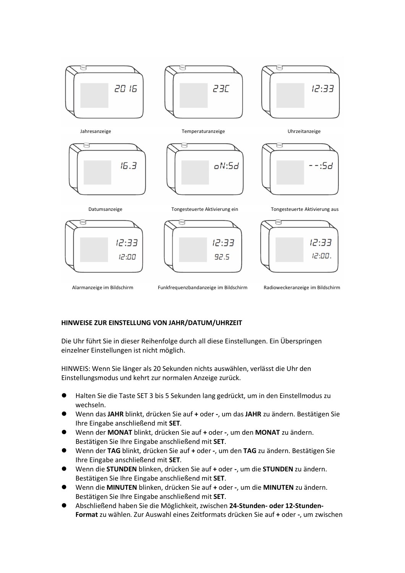

Alarmanzeige im Bildschirm Funkfrequenzbandanzeige im Bildschirm Radioweckeranzeige im Bildschirm

#### **HINWEISE ZUR EINSTELLUNG VON JAHR/DATUM/UHRZEIT**

Die Uhr führt Sie in dieser Reihenfolge durch all diese Einstellungen. Ein Überspringen einzelner Einstellungen ist nicht möglich.

HINWEIS: Wenn Sie länger als 20 Sekunden nichts auswählen, verlässt die Uhr den Einstellungsmodus und kehrt zur normalen Anzeige zurück.

- Halten Sie die Taste SET 3 bis 5 Sekunden lang gedrückt, um in den Einstellmodus zu wechseln.
- Wenn das **JAHR** blinkt, drücken Sie auf **+** oder **-**, um das **JAHR** zu ändern. Bestätigen Sie Ihre Eingabe anschließend mit **SET**.
- Wenn der **MONAT** blinkt, drücken Sie auf **+** oder **-**, um den **MONAT** zu ändern. Bestätigen Sie Ihre Eingabe anschließend mit **SET**.
- Wenn der **TAG** blinkt, drücken Sie auf **+** oder **-**, um den **TAG** zu ändern. Bestätigen Sie Ihre Eingabe anschließend mit **SET**.
- Wenn die **STUNDEN** blinken, drücken Sie auf **+** oder **-**, um die **STUNDEN** zu ändern. Bestätigen Sie Ihre Eingabe anschließend mit **SET**.
- Wenn die **MINUTEN** blinken, drücken Sie auf **+** oder **-**, um die **MINUTEN** zu ändern. Bestätigen Sie Ihre Eingabe anschließend mit **SET**.
- Abschließend haben Sie die Möglichkeit, zwischen **24-Stunden- oder 12-Stunden- Format** zu wählen. Zur Auswahl eines Zeitformats drücken Sie auf **+** oder **-**, um zwischen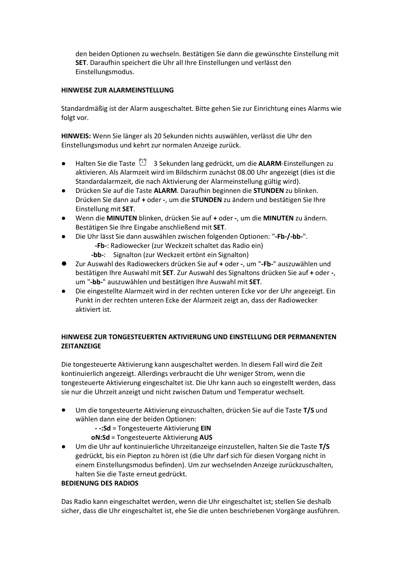den beiden Optionen zu wechseln. Bestätigen Sie dann die gewünschte Einstellung mit **SET**. Daraufhin speichert die Uhr all Ihre Einstellungen und verlässt den Einstellungsmodus.

#### **HINWEISE ZUR ALARMEINSTELLUNG**

Standardmäßig ist der Alarm ausgeschaltet. Bitte gehen Sie zur Einrichtung eines Alarms wie folgt vor.

**HINWEIS:** Wenn Sie länger als 20 Sekunden nichts auswählen, verlässt die Uhr den Einstellungsmodus und kehrt zur normalen Anzeige zurück.

- Halten Sie die Taste <sup>1</sup> 3Sekunden lang gedrückt, um die **ALARM**-Einstellungen zu aktivieren. Als Alarmzeit wird im Bildschirm zunächst 08.00 Uhr angezeigt (dies ist die Standardalarmzeit, die nach Aktivierung der Alarmeinstellung gültig wird).
- Drücken Sie auf die Taste **ALARM**. Daraufhin beginnen die **STUNDEN** zu blinken. Drücken Sie dann auf **+** oder **-**, um die **STUNDEN** zu ändern und bestätigen Sie Ihre Einstellung mit **SET**.
- Wenn die **MINUTEN** blinken, drücken Sie auf **+** oder **-**, um die **MINUTEN** zu ändern. Bestätigen Sie Ihre Eingabe anschließend mit **SET**.
- Die Uhr lässt Sie dann auswählen zwischen folgenden Optionen: "**-Fb-/-bb-**".
	- **-Fb-**: Radiowecker (zur Weckzeit schaltet das Radio ein)
	- **-bb-**: Signalton (zur Weckzeit ertönt ein Signalton)
- Zur Auswahl des Radioweckers drücken Sie auf **+** oder **-**, um "**-Fb-**" auszuwählen und bestätigen Ihre Auswahl mit **SET**. Zur Auswahl des Signaltons drücken Sie auf **+** oder **-**, um "**-bb-**" auszuwählen und bestätigen Ihre Auswahl mit **SET**.
- Die eingestellte Alarmzeit wird in der rechten unteren Ecke vor der Uhr angezeigt. Ein Punkt in der rechten unteren Ecke der Alarmzeit zeigt an, dass der Radiowecker aktiviert ist.

# **HINWEISE ZUR TONGESTEUERTEN AKTIVIERUNG UND EINSTELLUNG DER PERMANENTEN ZEITANZEIGE**

Die tongesteuerte Aktivierung kann ausgeschaltet werden. In diesem Fall wird die Zeit kontinuierlich angezeigt. Allerdings verbraucht die Uhr weniger Strom, wenn die tongesteuerte Aktivierung eingeschaltet ist. Die Uhr kann auch so eingestellt werden, dass sie nur die Uhrzeit anzeigt und nicht zwischen Datum und Temperatur wechselt.

- Um die tongesteuerte Aktivierung einzuschalten, drücken Sie auf die Taste **T/S** und wählen dann eine der beiden Optionen:
	- **- -:Sd** =Tongesteuerte Aktivierung **EIN**

**oN:Sd** =Tongesteuerte Aktivierung **AUS**

● Um die Uhr auf kontinuierliche Uhrzeitanzeige einzustellen, halten Sie die Taste **T/S** gedrückt, bis ein Piepton zu hören ist (die Uhr darfsich für diesen Vorgang nicht in einem Einstellungsmodus befinden). Um zur wechselnden Anzeige zurückzuschalten, halten Sie die Taste erneut gedrückt.

#### **BEDIENUNG DES RADIOS**

Das Radio kann eingeschaltet werden, wenn die Uhr eingeschaltet ist; stellen Sie deshalb sicher, dass die Uhr eingeschaltet ist, ehe Sie die unten beschriebenen Vorgänge ausführen.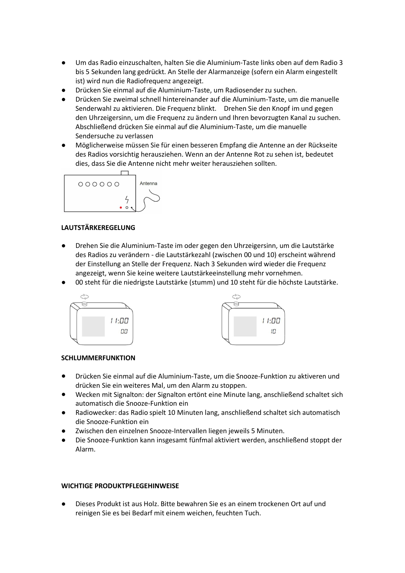- Um das Radio einzuschalten, halten Sie die Aluminium-Taste links oben auf dem Radio 3 bis 5 Sekunden lang gedrückt. An Stelle der Alarmanzeige (sofern ein Alarm eingestellt ist) wird nun die Radiofrequenz angezeigt.
- Drücken Sie einmal auf die Aluminium-Taste, um Radiosender zu suchen.
- Drücken Sie zweimal schnell hintereinander auf die Aluminium-Taste, um die manuelle Senderwahl zu aktivieren. Die Frequenz blinkt. Drehen Sie den Knopf im und gegen den Uhrzeigersinn, um die Frequenz zu ändern und Ihren bevorzugten Kanal zu suchen. Abschließend drücken Sie einmal auf die Aluminium-Taste, um die manuelle Sendersuche zu verlassen
- Möglicherweise müssen Sie für einen besseren Empfang die Antenne an der Rückseite des Radios vorsichtig herausziehen. Wenn an der Antenne Rot zu sehen ist, bedeutet dies, dass Sie die Antenne nicht mehr weiter herausziehen sollten.



#### **LAUTSTÄRKEREGELUNG**

- Drehen Sie die Aluminium-Taste im oder gegen den Uhrzeigersinn, um die Lautstärke des Radios zu verändern - die Lautstärkezahl (zwischen 00 und 10) erscheint während der Einstellung an Stelle der Frequenz. Nach 3 Sekunden wird wieder die Frequenz angezeigt, wenn Sie keine weitere Lautstärkeeinstellung mehr vornehmen.
- 00 steht für die niedrigste Lautstärke (stumm) und 10 steht für die höchste Lautstärke.





#### **SCHLUMMERFUNKTION**

- Drücken Sie einmal auf die Aluminium-Taste, um die Snooze-Funktion zu aktiveren und drücken Sie ein weiteres Mal, um den Alarm zu stoppen.
- Wecken mit Signalton: der Signalton ertönt eine Minute lang, anschließend schaltet sich automatisch die Snooze-Funktion ein
- Radiowecker: das Radio spielt 10 Minuten lang, anschließend schaltet sich automatisch die Snooze-Funktion ein
- Zwischen den einzelnen Snooze-Intervallen liegen jeweils 5 Minuten.
- Die Snooze-Funktion kann insgesamt fünfmal aktiviert werden, anschließend stoppt der Alarm.

#### **WICHTIGE PRODUKTPFLEGEHINWEISE**

● Dieses Produkt ist aus Holz. Bitte bewahren Sie esan einem trockenen Ort auf und reinigen Sie esbei Bedarf mit einem weichen, feuchten Tuch.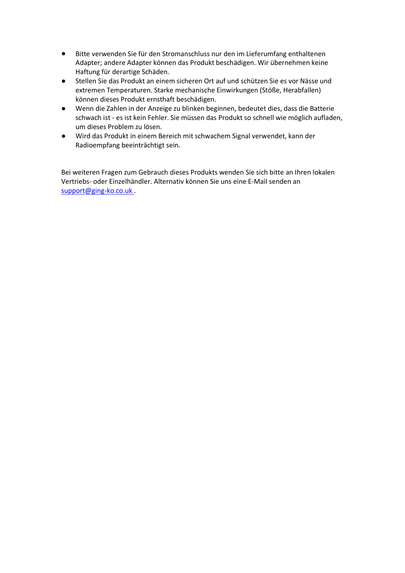- Bitte verwenden Sie für den Stromanschluss nur den im Lieferumfang enthaltenen Adapter; andere Adapter können das Produkt beschädigen. Wir übernehmen keine Haftung für derartige Schäden.
- Stellen Sie das Produkt an einem sicheren Ort auf und schützen Sie es vor Nässe und extremen Temperaturen. Starke mechanische Einwirkungen (Stöße, Herabfallen) können dieses Produkt ernsthaft beschädigen.
- Wenn die Zahlen in der Anzeige zu blinken beginnen, bedeutet dies, dass die Batterie schwach ist -es ist kein Fehler. Sie müssen das Produkt so schnell wie möglich aufladen, um dieses Problem zu lösen.
- Wird das Produkt in einem Bereich mit schwachem Signal verwendet, kann der Radioempfang beeinträchtigt sein.

Bei weiteren Fragen zum Gebrauch dieses Produkts wenden Sie sich bitte an Ihren lokalen Vertriebs- oder Einzelhändler. Alternativ können Sie uns eine E-Mail senden an [support@ging-ko.co.uk](mailto:support@ging-ko.co.uk) .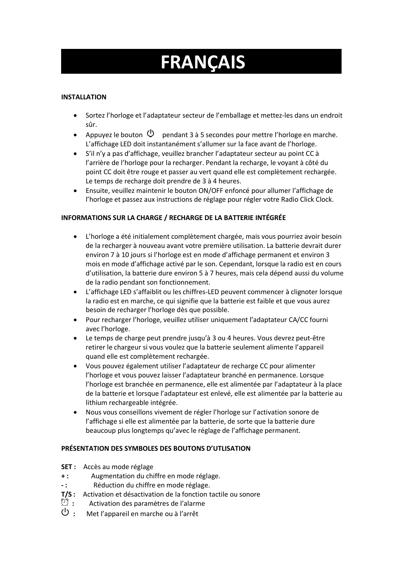# **FRANÇAIS**

# **INSTALLATION**

- Sortez l'horloge et l'adaptateur secteur de l'emballage et mettez-les dans un endroit sûr.
- Appuyez le bouton  $\mathcal O$  pendant 3 à 5 secondes pour mettre l'horloge en marche. L'affichage LED doit instantanément s'allumer sur la face avant de l'horloge.
- S'il n'y a pasd'affichage, veuillez brancher l'adaptateur secteur au point CC à l'arrière de l'horloge pour la recharger. Pendant la recharge, le voyant à côté du point CC doit être rouge et passer au vert quand elle est complètement rechargée. Le temps de recharge doit prendre de 3 à 4 heures.
- Ensuite, veuillez maintenir le bouton ON/OFF enfoncé pour allumer l'affichage de l'horloge et passez aux instructions de réglage pour régler votre Radio Click Clock.

# **INFORMATIONS SUR LA CHARGE / RECHARGE DE LA BATTERIE INTÉGRÉE**

- L'horloge a été initialement complètement chargée, mais vous pourriez avoir besoin de la recharger à nouveau avant votre première utilisation. La batterie devrait durer environ 7 à 10 jours si l'horloge est en mode d'affichage permanent et environ 3 mois en mode d'affichage activé par le son. Cependant, lorsque la radio est en cours d'utilisation, la batterie dure environ 5 à 7 heures, mais cela dépend aussi du volume de la radio pendant son fonctionnement.
- L'affichage LED s'affaiblit ou les chiffres-LED peuvent commencer à clignoter lorsque la radio est en marche, ce qui signifie que la batterie est faible et que vous aurez besoin de recharger l'horloge dès que possible.
- Pour recharger l'horloge, veuillez utiliser uniquement l'adaptateur CA/CC fourni avec l'horloge.
- Le temps de charge peut prendre jusqu'à 3 ou 4 heures. Vous devrez peut-être retirer le chargeur si vous voulez que la batterie seulement alimente l'appareil quand elle est complètement rechargée.
- Vous pouvez également utiliser l'adaptateur de recharge CC pour alimenter l'horloge et vous pouvez laisser l'adaptateur branché en permanence. Lorsque l'horloge est branchée en permanence, elle est alimentée par l'adaptateur à la place de la batterie et lorsque l'adaptateur est enlevé, elle est alimentée par la batterie au lithium rechargeable intégrée.
- Nous vous conseillons vivement de régler l'horloge sur l'activation sonore de l'affichage si elle est alimentée par la batterie, de sorte que la batterie dure beaucoup plus longtemps qu'avec le réglage de l'affichage permanent.

# **PRÉSENTATION DES SYMBOLES DES BOUTONS D'UTLISATION**

- **SET :** Accès au mode réglage
- **+ :** Augmentation du chiffre en mode réglage.
- **- :** Réduction du chiffre en mode réglage.
- **T/S :** Activation et désactivation de la fonction tactile ou sonore<br><sup>(1)</sup> **:** Activation des paramètres de l'alarme
- <sup>(1)</sup> : Activation des paramètres de l'alarme<br>(<sup>1</sup>) · Met l'annareil en marche ou à l'arrêt
- **:** Met l'appareil en marche ou à l'arrêt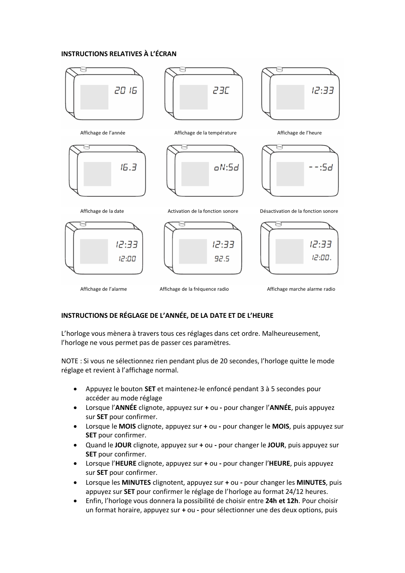#### **INSTRUCTIONS RELATIVES À L'ÉCRAN**



#### **INSTRUCTIONS DE RÉGLAGE DE L'ANNÉE, DE LA DATE ET DE L'HEURE**

L'horloge vous mènera à travers tous ces réglages dans cet ordre. Malheureusement, l'horloge ne vous permet pas de passer ces paramètres.

NOTE : Si vous ne sélectionnez rien pendant plus de 20 secondes, l'horloge quitte le mode réglage et revient à l'affichage normal.

- Appuyez le bouton **SET** et maintenez-le enfoncé pendant 3 à 5 secondes pour accéder au mode réglage
- Lorsque l'**ANNÉE** clignote, appuyez sur **+** ou **-** pour changer l'**ANNÉE**, puis appuyez sur **SET** pour confirmer.
- Lorsque le **MOIS** clignote, appuyez sur **+** ou **-** pour changer le **MOIS**, puis appuyez sur **SET** pour confirmer.
- Quand le **JOUR** clignote, appuyez sur **+** ou **-** pour changer le **JOUR**, puis appuyez sur **SET** pour confirmer.
- Lorsque l'**HEURE** clignote, appuyez sur **+** ou **-** pour changer l'**HEURE**, puis appuyez sur **SET** pour confirmer.
- Lorsque les **MINUTES** clignotent, appuyez sur **+** ou **-** pour changer les **MINUTES**, puis appuyez sur **SET** pour confirmer le réglage de l'horloge au format 24/12 heures.
- Enfin, l'horloge vous donnera la possibilité de choisir entre 24h et 12h. Pour choisir un format horaire, appuyez sur + ou - pour sélectionner une des deux options, puis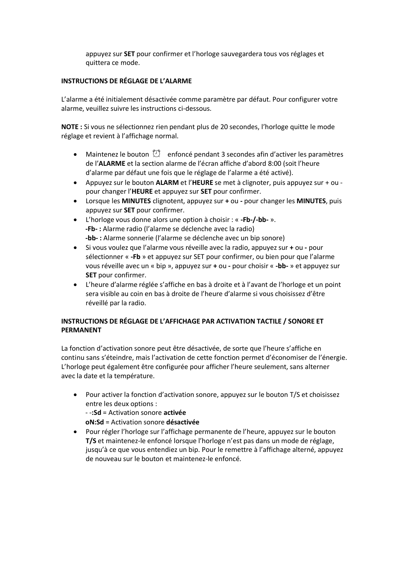appuyez sur **SET** pour confirmer et l'horloge sauvegardera tous vos réglages et quittera ce mode.

#### **INSTRUCTIONS DE RÉGLAGE DE L'ALARME**

L'alarme a été initialement désactivée comme paramètre par défaut. Pour configurer votre alarme, veuillez suivre les instructions ci-dessous.

NOTE : Si vous ne sélectionnez rien pendant plus de 20 secondes, l'horloge quitte le mode réglage et revient à l'affichage normal.

- Maintenez le bouton  $\mathbb{C}^3$  enfoncé pendant 3 secondes afin d'activer les paramètres de l'**ALARME** et la section alarme de l'écran affiche d'abord 8:00 (soit l'heure d'alarme par défaut une fois que le réglage de l'alarme a été activé).
- Appuyez sur le bouton **ALARM** et l'**HEURE** se metà clignoter, puis appuyez sur + ou pour changer l'**HEURE** et appuyez sur **SET** pour confirmer.
- Lorsque les **MINUTES** clignotent, appuyez sur **+** ou **-** pour changer les **MINUTES**, puis appuyez sur **SET** pour confirmer.
- L'horloge vous donne alors une option à choisir : « **-Fb-/-bb-**». **-Fb- :** Alarme radio (l'alarme se déclenche avec la radio) **-bb- :** Alarme sonnerie (l'alarme se déclenche avec un bip sonore)
- Si vous voulez que l'alarme vous réveille avec la radio, appuyez sur **+** ou **-** pour sélectionner « **-Fb** » et appuyez sur SET pour confirmer, ou bien pour que l'alarme vous réveille avec un « bip », appuyez sur **+** ou **-** pour choisir « **-bb-** » et appuyez sur **SET** pour confirmer.
- L'heure d'alarme réglée s'affiche en bas à droite et à l'avant de l'horloge et un point sera visible au coin en bas à droite de l'heure d'alarme si vous choisissez d'être réveillé par la radio.

# **INSTRUCTIONS DE RÉGLAGE DE L'AFFICHAGE PAR ACTIVATION TACTILE / SONORE ET PERMANENT**

La fonction d'activation sonore peut être désactivée, de sorte que l'heure s'affiche en continu sans s'éteindre, mais l'activation de cette fonction permet d'économiser de l'énergie. L'horloge peut également être configurée pour afficher l'heure seulement, sans alterner avec la date et la température.

- Pour activer la fonction d'activation sonore, appuyez sur le bouton T/S et choisissez entre les deux options :
	- -**:Sd** =Activation sonore **activée**
	- **oN:Sd** =Activation sonore **désactivée**
- Pour régler l'horloge sur l'affichage permanente de l'heure, appuyez sur le bouton **T/S** et maintenez-le enfoncé lorsque l'horloge n'est pas dans un mode de réglage, jusqu'à ce que vous entendiez un bip. Pour le remettre à l'affichage alterné, appuyez de nouveau sur le bouton et maintenez-le enfoncé.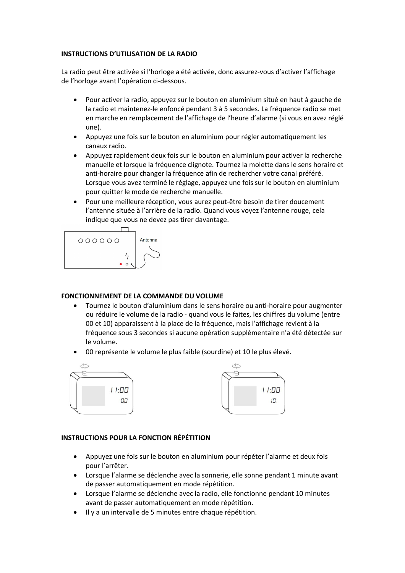#### **INSTRUCTIONS D'UTILISATION DE LA RADIO**

La radio peut être activée si l'horloge a été activée, donc assurez-vous d'activer l'affichage de l'horloge avant l'opération ci-dessous.

- Pour activer la radio, appuyez sur le bouton en aluminium situé en haut à gauche de la radio et maintenez-le enfoncé pendant 3 à 5 secondes. La fréquence radio se met en marche en remplacement de l'affichage de l'heure d'alarme (si vous en avez réglé une).
- Appuyez une fois sur le bouton en aluminium pour régler automatiquement les canaux radio.
- Appuyez rapidement deux fois sur le bouton en aluminium pour activer la recherche manuelle et lorsque la fréquence clignote. Tournez la molette dans le senshoraire et anti-horaire pour changer la fréquence afin de rechercher votre canal préféré. Lorsque vous avez terminé le réglage, appuyez une fois sur le bouton en aluminium pour quitter le mode de recherche manuelle.
- Pour une meilleure réception, vous aurez peut-être besoin de tirer doucement l'antenne située à l'arrière de la radio. Quand vous voyez l'antenne rouge, cela indique que vous ne devez pas tirer davantage.



# **FONCTIONNEMENT DE LA COMMANDE DU VOLUME**

- Tournez le bouton d'aluminium dans le senshoraire ou anti-horaire pour augmenter ou réduire le volume de la radio - quand vous le faites, les chiffres du volume (entre 00 et 10) apparaissent à la place de la fréquence, maisl'affichage revientà la fréquence sous 3 secondes si aucune opération supplémentaire n'a été détectée sur le volume.
- 00 représente le volume le plus faible (sourdine) et 10 le plus élevé.





# **INSTRUCTIONS POUR LA FONCTION RÉPÉTITION**

- Appuyez une fois sur le bouton en aluminium pour répéter l'alarme et deux fois pour l'arrêter.
- Lorsque l'alarme se déclenche avec la sonnerie, elle sonne pendant 1 minute avant de passerautomatiquement en mode répétition.
- Lorsque l'alarme se déclenche avec la radio, elle fonctionne pendant 10 minutes avant de passer automatiquement en mode répétition.
- Il y a un intervalle de 5 minutes entre chaque répétition.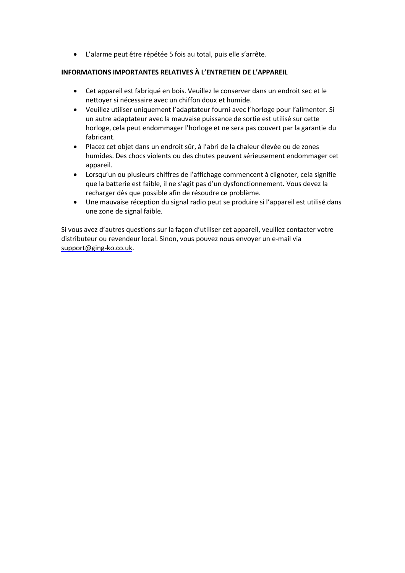L'alarme peut être répétée 5 fois au total, puis elle s'arrête.

#### **INFORMATIONS IMPORTANTES RELATIVES À L'ENTRETIEN DE L'APPAREIL**

- Cet appareil est fabriqué en bois. Veuillez le conserver dans un endroit sec et le nettoyer si nécessaire avec un chiffon doux et humide.
- Veuillez utiliser uniquement l'adaptateur fourni avec l'horloge pour l'alimenter. Si un autre adaptateur avec la mauvaise puissance de sortie est utilisé sur cette horloge, cela peut endommager l'horloge et ne sera pas couvert par la garantie du fabricant.
- Placez cet objet dans un endroit sûr, à l'abri de la chaleur élevée ou de zones humides. Des chocs violents ou des chutes peuvent sérieusement endommager cet appareil.
- Lorsqu'un ou plusieurs chiffres de l'affichage commencent à clignoter, cela signifie que la batterie est faible, il ne s'agit pas d'un dysfonctionnement. Vous devez la recharger dès que possible afin de résoudre ce problème.
- Une mauvaise réception du signal radio peut se produire si l'appareil est utilisé dans une zone de signal faible.

Si vous avez d'autres questions sur la façon d'utiliser cet appareil, veuillez contacter votre distributeur ou revendeur local. Sinon, vous pouvez nous envoyer un e-mail via [support@ging-ko.co.uk](mailto:support@ging-ko.co.uk).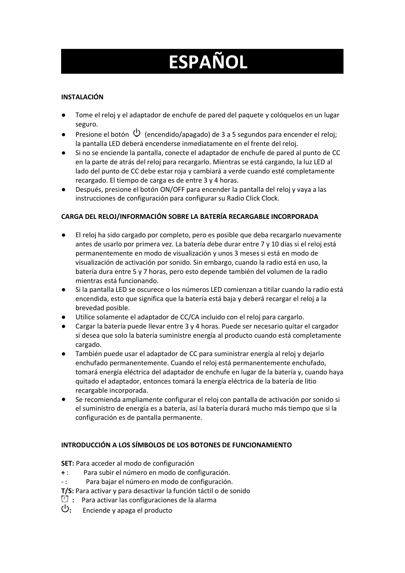# **ESPAÑOL**

# **INSTALACIÓN**

- Tome el reloj y el adaptador de enchufe de pared del paquete y colóquelos en un lugar seguro.
- **•** Presione el botón  $\bigcirc$  (encendido/apagado) de 3 a 5 segundos para encender el reloj; la pantalla LED deberá encenderse inmediatamente en el frente del reloj.
- Si no se enciende la pantalla, conecte el adaptador de enchufe de pared al punto de CC en la parte de atrás del reloj para recargarlo. Mientras se está cargando, la luz LED al lado del punto de CC debe estar roja y cambiará a verde cuando esté completamente recargado. El tiempo de carga es de entre 3 y 4 horas.
- Después, presione el botón ON/OFF para encender la pantalla del reloj y vaya a las instrucciones de configuración para configurar su Radio Click Clock.

# **CARGA DEL RELOJ/INFORMACIÓN SOBRE LA BATERÍA RECARGABLE INCORPORADA**

- El reloj ha sido cargado por completo, pero es posible que deba recargarlo nuevamente antes de usarlo por primera vez. La batería debe durar entre 7 y 10 días si el reloj está permanentemente en modo de visualización y unos 3 meses si está en modo de visualización de activación por sonido. Sin embargo, cuando laradio está en uso, la batería dura entre 5 y 7 horas, pero esto depende también del volumen de la radio mientras está funcionando.
- Si la pantalla LED se oscurece o los números LED comienzan a titilar cuando laradio está encendida, esto que significa que la batería está baja y deberá recargar el reloj a la brevedad posible.
- Utilice solamente el adaptador de CC/CA incluido con el reloj para cargarlo.
- Cargar la batería puede llevar entre 3 y 4 horas. Puede ser necesario quitar el cargador si desea que solo labatería suministre energía al producto cuando está completamente cargado.
- También puede usar el adaptador de CC para suministrar energía al reloj y dejarlo enchufado permanentemente. Cuando el reloj está permanentemente enchufado, tomará energía eléctrica del adaptador de enchufe en lugar de la batería y, cuando haya quitado el adaptador, entonces tomará la energía eléctrica de la batería de litio recargable incorporada.
- Se recomienda ampliamente configurar el reloj con pantalla de activación por sonido si el suministro de energía es a batería, así la batería durará mucho más tiempo que si la configuración es de pantalla permanente.

# **INTRODUCCIÓN A LOS SÍMBOLOS DE LOS BOTONES DE FUNCIONAMIENTO**

**SET:** Para acceder al modo de configuración

- **+** : Para subir el número en modo de configuración.
- : Para bajar el número en modo de configuración.
- **T/S:** Para activar y para desactivar la función táctil o de sonido
- $\mathbb{C}$  : Para activar las configuraciones de la alarma
- **:** Enciende y apaga el producto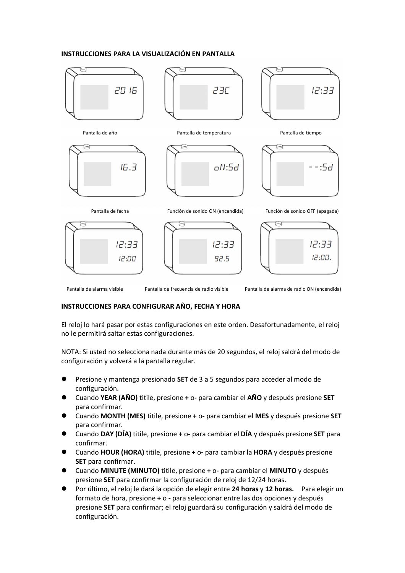#### **INSTRUCCIONES PARA LA VISUALIZACIÓN EN PANTALLA**



Pantalla de alarma visible Pantalla de frecuencia de radio visible Pantalla de alarma de radio ON (encendida)

#### **INSTRUCCIONES PARA CONFIGURAR AÑO, FECHA Y HORA**

El reloj lo hará pasar por estas configuraciones en este orden. Desafortunadamente, el reloj no le permitirá saltar estas configuraciones.

NOTA: Si usted no selecciona nada durante más de 20 segundos, el reloj saldrá del modo de configuración y volverá a la pantalla regular.

- Presione y mantenga presionado **SET** de 3 a 5 segundos para acceder al modo de configuración.
- Cuando **YEAR (AÑO)** titile, presione **+** o**-** para cambiar el **AÑO** y después presione **SET** para confirmar.
- Cuando **MONTH (MES)** titile, presione **+** o**-** para cambiar el **MES** y después presione **SET** para confirmar.
- Cuando **DAY (DÍA)** titile, presione **+** o**-** para cambiar el **DÍA** y después presione **SET** para confirmar.
- Cuando **HOUR (HORA)** titile, presione **+** o**-** para cambiar la **HORA** y después presione **SET** para confirmar.
- Cuando **MINUTE (MINUTO)** titile, presione **+** o**-** para cambiar el **MINUTO** y después presione **SET** para confirmar la configuración de reloj de 12/24 horas.
- Por último, el reloj le dará la opción de elegir entre **24 horas** y **12 horas.** Para elegirun formato de hora, presione **+** o **-** para seleccionar entre las dos opciones y después presione **SET** para confirmar; el reloj guardará su configuración y saldrá del modo de configuración.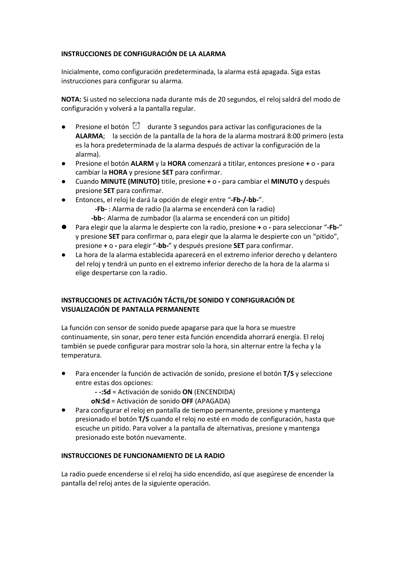#### **INSTRUCCIONES DE CONFIGURACIÓN DE LA ALARMA**

Inicialmente, como configuración predeterminada, la alarma está apagada. Siga estas instrucciones para configurar su alarma.

**NOTA:** Siusted no selecciona nada durante más de 20 segundos, el reloj saldrá del modo de configuración y volverá a la pantalla regular.

- **•** Presione el botón  $\mathbb{C}^{\dagger}$  durante 3 segundos para activar las configuraciones de la **ALARMA**; la sección de la pantalla de la hora de la alarma mostrará 8:00 primero (esta es la hora predeterminada de la alarma después de activar la configuración de la alarma).
- Presione el botón **ALARM** y la **HORA** comenzará a titilar, entonces presione **+** o **-** para cambiar la **HORA** y presione **SET** para confirmar.
- Cuando **MINUTE (MINUTO)** titile, presione **+** o **-** para cambiar el **MINUTO** y después presione **SET** para confirmar.
- Entonces, el reloj le dará la opción de elegir entre "**-Fb-/-bb-**".
	- **-Fb-** : Alarma de radio (la alarma se encenderá con la radio)
	- **-bb-**: Alarma de zumbador (la alarma se encenderá con un pitido)
- Para elegirque la alarma le despierte con la radio, presione **+** o **-** para seleccionar "**-Fb-**" y presione **SET** para confirmar o, para elegirque la alarma le despierte con un "pitido", presione **+** o **-** para elegir"**-bb-**" y después presione **SET** para confirmar.
- La hora de la alarma establecida aparecerá en el extremo inferior derecho y delantero del reloj y tendrá un punto en el extremo inferior derecho de la hora de la alarma si elige despertarse con la radio.

# **INSTRUCCIONES DE ACTIVACIÓN TÁCTIL/DE SONIDO Y CONFIGURACIÓN DE VISUALIZACIÓN DE PANTALLA PERMANENTE**

La función con sensor de sonido puede apagarse para que la hora se muestre continuamente, sin sonar, pero tener esta función encendida ahorrará energía. El reloj también se puede configurar para mostrar solo lahora, sin alternar entre la fecha y la temperatura.

- Para encender la función de activación de sonido, presione el botón **T/S** y seleccione entre estas dos opciones:
	- **- -:Sd** =Activación de sonido **ON** (ENCENDIDA)
	- **oN:Sd** =Activación de sonido **OFF** (APAGADA)
- Para configurar el reloj en pantalla de tiempo permanente, presione y mantenga presionado el botón **T/S** cuando el reloj no esté en modo de configuración, hasta que escuche un pitido. Para volver a la pantalla de alternativas, presione y mantenga presionado este botón nuevamente.

#### **INSTRUCCIONES DE FUNCIONAMIENTO DE LA RADIO**

La radio puede encenderse si el reloj ha sido encendido, así que asegúrese de encender la pantalla del reloj antes de la siguiente operación.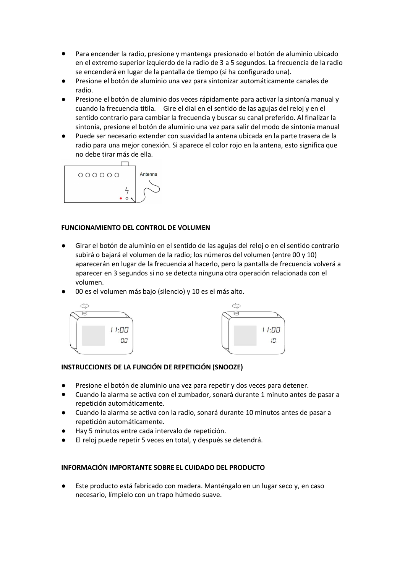- Para encender la radio, presione y mantenga presionado el botón de aluminio ubicado en el extremo superior izquierdo de la radio de 3 a 5 segundos. La frecuencia de la radio se encenderá en lugar de la pantalla de tiempo (si ha configurado una).
- Presione el botón de aluminio una vez para sintonizar automáticamente canales de radio.
- Presione el botón de aluminio dos veces rápidamente para activar la sintonía manual y cuando la frecuencia titila. Gire el dial en el sentido de las agujas del reloj y en el sentido contrario para cambiar la frecuencia y buscar su canal preferido. Al finalizar la sintonía, presione el botón de aluminio una vez para salir del modo de sintonía manual
- Puede ser necesario extender con suavidad la antena ubicada en la parte trasera de la radio para una mejor conexión. Si aparece el color rojo en la antena, esto significa que no debe tirar más de ella.



#### **FUNCIONAMIENTO DEL CONTROL DE VOLUMEN**

- Girar el botón de aluminio en el sentido de lasagujas del reloj o en el sentido contrario subirá o bajará el volumen de la radio; los números del volumen (entre 00 y 10) aparecerán en lugar de la frecuencia al hacerlo, pero la pantalla de frecuencia volverá a aparecer en 3 segundos sino se detecta ninguna otra operación relacionada con el volumen.
- 00 es el volumen más bajo (silencio) y 10 es el más alto.





# **INSTRUCCIONES DE LA FUNCIÓN DE REPETICIÓN (SNOOZE)**

- Presione el botón de aluminio una vez para repetir y dos veces para detener.
- Cuando la alarma se activa con el zumbador, sonará durante 1 minuto antes de pasar a repetición automáticamente.
- Cuando la alarma se activa con la radio, sonará durante 10 minutos antes de pasar a repetición automáticamente.
- Hay 5 minutos entre cada intervalo de repetición.
- El reloj puede repetir 5 veces en total, y después se detendrá.

#### **INFORMACIÓN IMPORTANTE SOBRE EL CUIDADO DEL PRODUCTO**

Este producto está fabricado con madera. Manténgalo en un lugar seco y, en caso necesario, límpielo con un trapo húmedo suave.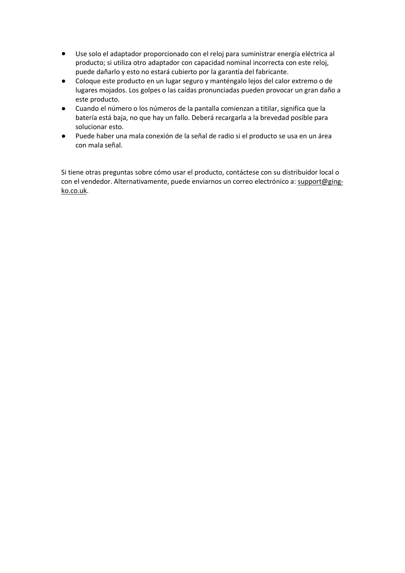- Use solo el adaptador proporcionado con el reloj para suministrar energía eléctrica al producto; si utiliza otro adaptador con capacidad nominal incorrecta con este reloj, puede dañarlo y esto no estará cubierto por la garantía del fabricante.
- Coloque este producto en un lugar seguro y manténgalo lejos del calor extremo o de lugares mojados. Los golpes o las caídas pronunciadas pueden provocar un gran daño a este producto.
- Cuando el número o los números de la pantalla comienzan a titilar, significa que la batería está baja, no que hay un fallo. Deberá recargarla a la brevedad posible para solucionar esto.
- Puede haber una mala conexión de la señal de radio si el producto se usa en un área con mala señal.

Si tiene otras preguntas sobre cómo usar el producto, contáctese con su distribuidor local o con el vendedor. Alternativamente, puede enviarnos un correo electrónico a: [support@ging](mailto:support@ging-ko.co.uk) [ko.co.uk.](mailto:support@ging-ko.co.uk)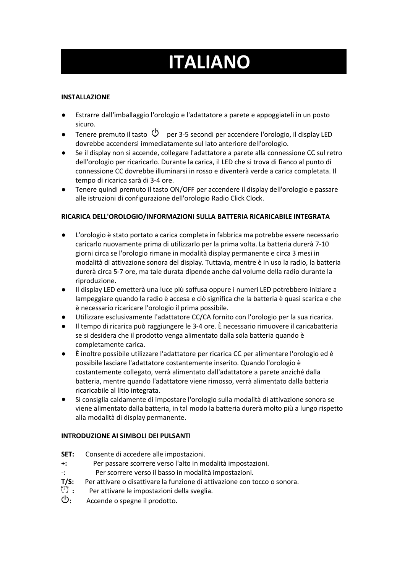# **ITALIANO**

# **INSTALLAZIONE**

- Estrarre dall'imballaggio l'orologio e l'adattatore a parete e appoggiateli in un posto sicuro.
- **•** Tenere premuto il tasto  $\bigcirc$  per 3-5 secondi per accendere l'orologio, il display LED dovrebbe accendersi immediatamente sul lato anteriore dell'orologio.
- Se il display non si accende, collegare l'adattatore a parete alla connessione CC sul retro dell'orologio per ricaricarlo. Durante la carica, il LED che si trova di fianco al punto di connessione CC dovrebbe illuminarsi in rosso e diventerà verde a carica completata. Il tempo di ricarica sarà di 3-4 ore.
- Tenere quindi premuto il tasto ON/OFF per accendere il display dell'orologio e passare alle istruzioni di configurazione dell'orologio Radio Click Clock.

# **RICARICA DELL'OROLOGIO/INFORMAZIONI SULLA BATTERIA RICARICABILE INTEGRATA**

- L'orologio è stato portato a carica completa in fabbrica ma potrebbe essere necessario caricarlo nuovamente prima di utilizzarlo per la prima volta. La batteria durerà 7-10 giorni circa se l'orologio rimane in modalità display permanente e circa 3 mesi in modalità di attivazione sonora del display. Tuttavia, mentre è in uso la radio, la batteria durerà circa 5-7 ore, ma tale durata dipende anche dal volume della radio durante la riproduzione.
- Il display LED emetterà una luce più soffusa oppure i numeri LED potrebbero iniziare a lampeggiare quando la radio è accesa e ciò significa che la batteria è quasi scarica e che è necessario ricaricare l'orologio il prima possibile.
- Utilizzare esclusivamente l'adattatore CC/CA fornito con l'orologio per la sua ricarica.
- Il tempo di ricarica può raggiungere le 3-4 ore. È necessario rimuovere il caricabatteria se si desidera che il prodotto venga alimentato dalla sola batteria quando è completamente carica.
- È inoltre possibile utilizzare l'adattatore per ricarica CC per alimentare l'orologio ed è possibile lasciare l'adattatore costantemente inserito. Quando l'orologio è costantemente collegato, verrà alimentato dall'adattatore a parete anziché dalla batteria, mentre quando l'adattatore viene rimosso, verrà alimentato dalla batteria ricaricabile al litio integrata.
- Si consiglia caldamente di impostare l'orologio sulla modalità diattivazione sonora se viene alimentato dalla batteria, in tal modo labatteria durerà molto più a lungo rispetto alla modalità di display permanente.

# **INTRODUZIONE AI SIMBOLI DEI PULSANTI**

- **SET:** Consente di accedere alle impostazioni.
- **+:** Per passare scorrere verso l'alto in modalità impostazioni.
- -: Perscorrere verso il basso in modalità impostazioni.
- **T/S:** Per attivare o disattivare la funzione di attivazione con tocco o sonora.<br>① Per attivare le impostazioni della sveglia.
- <sup>(1)</sup> : Per attivare le impostazioni della sveglia.<br>(<sup>1</sup>): Accende o spegne il prodotto.
- **:** Accende o spegne il prodotto.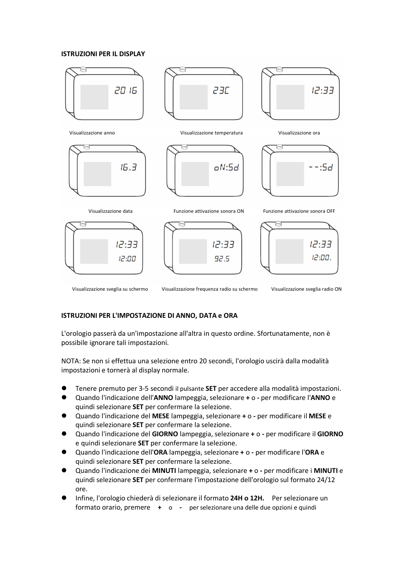#### **ISTRUZIONI PER IL DISPLAY**



Visualizzazione sveglia su schermo Visualizzazione frequenza radio su schermo Visualizzazione sveglia radio ON

#### **ISTRUZIONI PER L'IMPOSTAZIONE DI ANNO, DATA e ORA**

L'orologio passerà da un'impostazione all'altra in questo ordine. Sfortunatamente, non è possibile ignorare tali impostazioni.

NOTA: Se non si effettua una selezione entro 20 secondi, l'orologio uscirà dalla modalità impostazioni e tornerà al display normale.

- Tenere premuto per 3-5 secondi il pulsante **SET** per accedere alla modalità impostazioni.
- Quando l'indicazione dell'**ANNO** lampeggia, selezionare **+** o **-** per modificare l'**ANNO** e quindi selezionare **SET** per confermare la selezione.
- Quando l'indicazione del **MESE** lampeggia, selezionare **+** o **-** permodificare il **MESE** e quindi selezionare **SET** per confermare la selezione.
- Quando l'indicazione del **GIORNO** lampeggia, selezionare **+** o **-** permodificare il **GIORNO** e quindi selezionare **SET** per confermare la selezione.
- Quando l'indicazione dell'**ORA** lampeggia, selezionare **+** o **-** per modificare l'**ORA** e quindi selezionare **SET** per confermare la selezione.
- Quando l'indicazione dei **MINUTI** lampeggia, selezionare **+** o **-** permodificare i **MINUTI** e quindi selezionare **SET** per confermare l'impostazione dell'orologio sul formato 24/12 ore.
- Infine, l'orologio chiederà di selezionare il formato **24H o 12H.** Perselezionare un formato orario, premere **+** o **-** per selezionare una delle due opzioni e quindi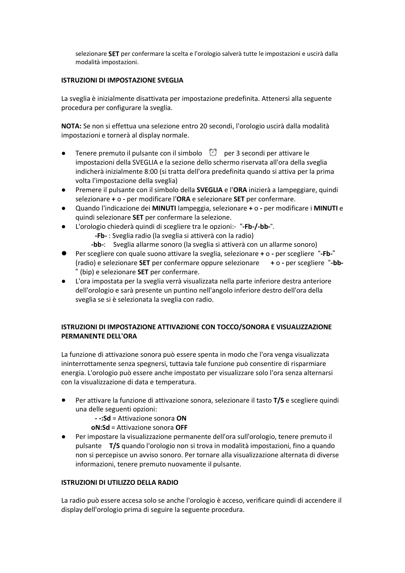selezionare **SET** per confermare la scelta e l'orologio salverà tutte le impostazioni e uscirà dalla modalità impostazioni.

#### **ISTRUZIONI DI IMPOSTAZIONE SVEGLIA**

La sveglia è inizialmente disattivata per impostazione predefinita. Attenersi alla seguente procedura per configurare la sveglia.

**NOTA:** Se non si effettua una selezione entro 20 secondi, l'orologio uscirà dalla modalità impostazioni e tornerà al display normale.

- **•** Tenere premuto il pulsante con il simbolo  $\Box$  per 3 secondi per attivare le impostazioni della SVEGLIA e la sezione dello schermo riservata all'ora della sveglia indicherà inizialmente 8:00 (si tratta dell'ora predefinita quando si attiva per la prima volta l'impostazione della sveglia)
- Premere il pulsante con il simbolo della **SVEGLIA** e l'**ORA** inizierà a lampeggiare, quindi selezionare **+** o **-** permodificare l'**ORA** e selezionare **SET** per confermare.
- Quando l'indicazione dei **MINUTI** lampeggia, selezionare **+** o **-** permodificare i **MINUTI** e quindi selezionare **SET** per confermare la selezione.
- L'orologio chiederà quindi di scegliere tra le opzioni:- "-Fb-/-bb-".
	- **-Fb-** : Sveglia radio (la sveglia si attiverà con la radio)
	- **-bb-**: Sveglia allarme sonoro (la sveglia si attiverà con un allarme sonoro)
- Per scegliere con quale suono attivare la sveglia, selezionare + o per scegliere "-Fb-" (radio) e selezionare **SET** per confermare oppure selezionare **+** o **-** perscegliere **-bb-** (bip) e selezionare **SET** per confermare.
- L'ora impostata per la sveglia verrà visualizzata nella parte inferiore destra anteriore dell'orologio e sarà presente un puntino nell'angolo inferiore destro dell'ora della sveglia se si è selezionata la sveglia con radio.

# **ISTRUZIONI DI IMPOSTAZIONE ATTIVAZIONE CON TOCCO/SONORA E VISUALIZZAZIONE PERMANENTE DELL'ORA**

La funzione diattivazione sonora può essere spenta in modo che l'ora venga visualizzata ininterrottamente senza spegnersi, tuttavia tale funzione può consentire di risparmiare energia. L'orologio può essere anche impostato per visualizzare solo l'ora senza alternarsi con la visualizzazione di data e temperatura.

- Per attivare la funzione di attivazione sonora, selezionare il tasto T/S e scegliere quindi una delle seguenti opzioni:
	- **- -:Sd** =Attivazione sonora **ON**
	- **oN:Sd** =Attivazione sonora **OFF**
- Per impostare la visualizzazione permanente dell'ora sull'orologio, tenere premuto il pulsante **T/S** quando l'orologio non si trova in modalità impostazioni, fino a quando non si percepisce un avviso sonoro. Per tornare alla visualizzazione alternata di diverse informazioni, tenere premuto nuovamente il pulsante.

#### **ISTRUZIONI DI UTILIZZO DELLA RADIO**

La radio può essere accesa solo se anche l'orologio è acceso, verificare quindi di accendere il display dell'orologio prima di seguire la seguente procedura.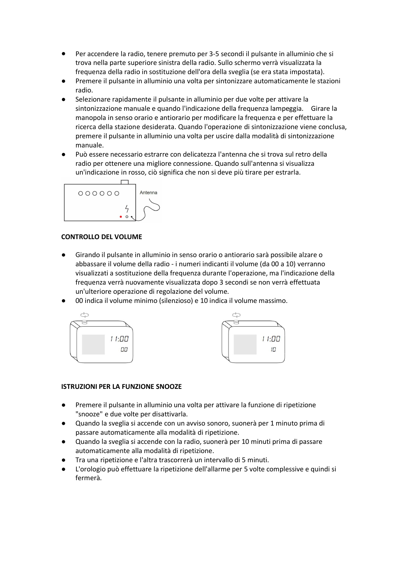- Per accendere la radio, tenere premuto per 3-5 secondi il pulsante in alluminio che si trova nella parte superiore sinistra della radio. Sullo schermo verrà visualizzata la frequenza della radio in sostituzione dell'ora della sveglia (se era stata impostata).
- Premere il pulsante in alluminio una volta per sintonizzare automaticamente le stazioni radio.
- Selezionare rapidamente il pulsante in alluminio per due volte per attivare la sintonizzazione manuale e quando l'indicazione della frequenza lampeggia. Girare la manopola in senso orario e antiorario per modificare la frequenza e per effettuare la ricerca della stazione desiderata. Quando l'operazione di sintonizzazione viene conclusa, premere il pulsante in alluminio una volta per uscire dalla modalità disintonizzazione manuale.
- Può essere necessario estrarre con delicatezza l'antenna che si trova sul retro della radio per ottenere una migliore connessione. Quando sull'antenna si visualizza un'indicazione in rosso, ciò significa che non si deve più tirare per estrarla.



# **CONTROLLO DEL VOLUME**

- Girando il pulsante in alluminio in senso orario o antiorario sarà possibile alzare o abbassare il volume della radio - i numeri indicanti il volume (da 00 a 10) verranno visualizzati a sostituzione della frequenza durante l'operazione, ma l'indicazione della frequenza verrà nuovamente visualizzata dopo 3 secondi se non verrà effettuata un'ulteriore operazione di regolazione del volume.
- 00 indica il volume minimo (silenzioso) e 10 indica il volume massimo.





#### **ISTRUZIONI PER LA FUNZIONE SNOOZE**

- Premere il pulsante in alluminio una volta per attivare la funzione di ripetizione "snooze" e due volte per disattivarla.
- Quando la sveglia si accende con un avviso sonoro, suonerà per 1 minuto prima di passare automaticamente alla modalità di ripetizione.
- Quando la sveglia si accende con laradio, suonerà per 10 minuti prima di passare automaticamente alla modalità diripetizione.
- Tra una ripetizione e l'altra trascorrerà un intervallo di 5 minuti.
- L'orologio può effettuare la ripetizione dell'allarme per 5 volte complessive e quindi si fermerà.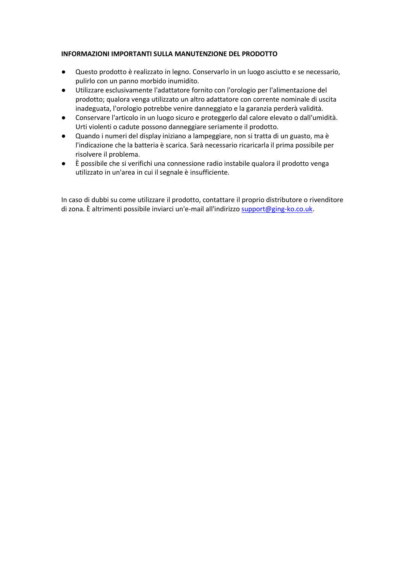#### **INFORMAZIONI IMPORTANTI SULLA MANUTENZIONE DEL PRODOTTO**

- Questo prodotto è realizzato in legno. Conservarlo in un luogo asciutto e se necessario, pulirlo con un panno morbido inumidito.
- Utilizzare esclusivamente l'adattatore fornito con l'orologio per l'alimentazione del prodotto; qualora venga utilizzato un altro adattatore con corrente nominale di uscita inadeguata, l'orologio potrebbe venire danneggiato e la garanzia perderà validità.
- Conservare l'articolo in un luogo sicuro <sup>e</sup> proteggerlo dal calore elevato <sup>o</sup> dall'umidità.Urti violenti <sup>o</sup> cadute possono danneggiare seriamente il prodotto.
- Quando i numeri del display iniziano a lampeggiare, non si tratta di un guasto, ma è l'indicazione che la batteria è scarica. Sarà necessario ricaricarla il prima possibile per risolvere il problema.
- È possibile che si verifichi una connessione radio instabile qualora il prodotto venga utilizzato in un'area in cui il segnale è insufficiente.

In caso di dubbi su come utilizzare il prodotto, contattare il proprio distributore o rivenditore di zona. È altrimenti possibile inviarci un'e-mail all'indirizzo [support@ging-ko.co.uk](mailto:support@ging-ko.co.uk).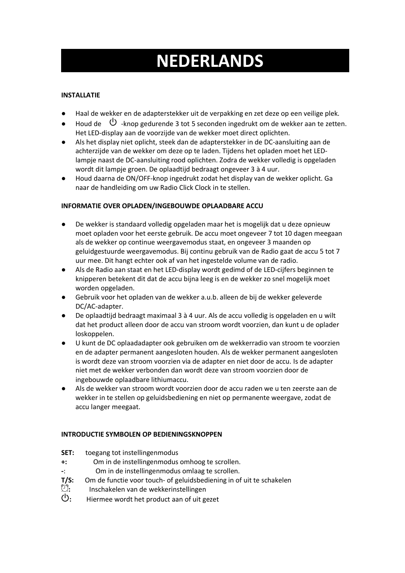# **NEDERLANDS**

# **INSTALLATIE**

- Haal de wekker en de adapterstekker uit de verpakking en zet deze op een veilige plek.
- Houd de  $\cup$  -knop gedurende 3 tot 5 seconden ingedrukt om de wekker aan te zetten.<br>Het LED-display aan de voorzijde van de wekker moet direct oplichten.
- Als het display niet oplicht, steek dan de adapterstekker in de DC-aansluiting aan de achterzijde van de wekker om deze op te laden. Tijdens het opladen moet het LEDlampje naast de DC-aansluiting rood oplichten. Zodra de wekker volledig is opgeladen wordt dit lampje groen. De oplaadtijd bedraagt ongeveer 3 à 4 uur.
- Houd daarna de ON/OFF-knop ingedrukt zodat het display van de wekker oplicht. Ga naar de handleiding om uw Radio Click Clock in te stellen.

# **INFORMATIE OVER OPLADEN/INGEBOUWDE OPLAADBARE ACCU**

- De wekker is standaard volledig opgeladen maar het is mogelijk dat u deze opnieuw moet opladen voor het eerste gebruik. De accu moet ongeveer 7 tot 10 dagen meegaan als de wekker op continue weergavemodus staat, en ongeveer 3 maanden op geluidgestuurde weergavemodus. Bij continu gebruik van de Radio gaat de accu 5 tot 7 uur mee. Dit hangt echter ook af van het ingestelde volume van de radio.
- Als de Radio aan staat en het LED-display wordt gedimd of de LED-cijfers beginnen te knipperen betekent dit dat de accu bijna leeg is en de wekker zo snel mogelijk moet worden opgeladen.
- Gebruik voorhet opladen van de wekker a.u.b. alleen de bij de wekker geleverde DC/AC-adapter.
- De oplaadtijd bedraagt maximaal 3 à 4 uur. Als de accu volledig is opgeladen en u wilt dat het product alleen door de accu van stroom wordt voorzien, dan kunt u de oplader loskoppelen.
- U kunt de DC oplaadadapter ook gebruiken om de wekkerradio van stroom te voorzien en de adapter permanent aangesloten houden. Als de wekker permanent aangesloten is wordt deze van stroom voorzien via de adapter en niet door de accu. Is de adapter niet met de wekker verbonden dan wordt deze van stroom voorzien door de ingebouwde oplaadbare lithiumaccu.
- Als de wekker van stroom wordt voorzien door de accu raden we u ten zeerste aan de wekker in te stellen op geluidsbediening en niet op permanente weergave, zodat de accu langer meegaat.

# **INTRODUCTIE SYMBOLEN OP BEDIENINGSKNOPPEN**

- **SET:** toegang tot instellingenmodus
- **+:** Om in de instellingenmodus omhoog te scrollen.
- **-**: Om in de instellingenmodus omlaag te scrollen.
- **T/S:** Om de functie voor touch- of geluidsbediening in of uit te schakelen  $\mathbb{C}$ : Inschakelen van de wekkerinstellingen
- **:** Inschakelen van de wekkerinstellingen
- **:** Hiermee wordt het product aan of uit gezet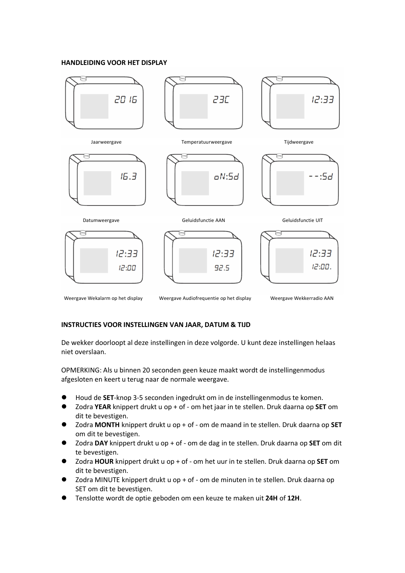#### **HANDLEIDING VOOR HET DISPLAY**



Weergave Wekalarm op het display Weergave Audiofrequentie op het display Weergave Wekkerradio AAN

#### **INSTRUCTIES VOOR INSTELLINGEN VAN JAAR, DATUM & TIJD**

De wekker doorloopt al deze instellingen in deze volgorde. U kunt deze instellingen helaas niet overslaan.

OPMERKING: Als u binnen 20 seconden geen keuze maakt wordt de instellingenmodus afgesloten en keert u terug naar de normale weergave.

- Houd de **SET**-knop 3-5 seconden ingedrukt om in de instellingenmodus te komen.
- Zodra **YEAR** knippert drukt u op + of om het jaar in te stellen. Druk daarna op **SET** om dit te bevestigen.
- Zodra MONTH knippert drukt u op + of om de maand in te stellen. Druk daarna op SET om dit te bevestigen.
- Zodra **DAY** knippert drukt u op + of om de dag in te stellen. Druk daarna op **SET** om dit te bevestigen.
- Zodra **HOUR** knippert drukt u op + of om het uur in te stellen. Druk daarna op **SET** om dit te bevestigen.
- Zodra MINUTE knippert drukt u op + of om de minuten in te stellen. Druk daarna op SET om dit te bevestigen.
- Tenslotte wordt de optie geboden om een keuze te maken uit **24H** of **12H**.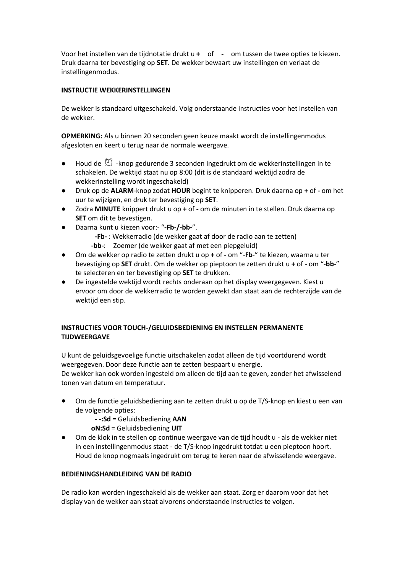Voor het instellen van de tijdnotatie drukt u **+** of **-** om tussen de twee opties te kiezen. Druk daarna ter bevestiging op **SET**. De wekker bewaart uw instellingen en verlaat de instellingenmodus.

#### **INSTRUCTIE WEKKERINSTELLINGEN**

De wekker is standaard uitgeschakeld. Volg onderstaande instructies voor het instellen van de wekker.

**OPMERKING:** Als u binnen 20 seconden geen keuze maakt wordt de instellingenmodus afgesloten en keert u terug naar de normale weergave.

- $\bullet$  Houd de  $\mathbb{C}^*$  -knop gedurende 3 seconden ingedrukt om de wekkerinstellingen in te schakelen. De wektijd staat nu op 8:00 (dit is de standaard wektijd zodra de wekkerinstelling wordt ingeschakeld)
- Druk op de **ALARM**-knop zodat **HOUR** begint te knipperen. Druk daarna op **+** of **-** om het uur te wijzigen, en druk ter bevestiging op **SET**.
- Zodra **MINUTE** knippert drukt u op + of om de minuten in te stellen. Druk daarna op **SET** om dit te bevestigen.
- Daarna kunt u kiezen voor:- "**-Fb-/-bb-**".
	- **-Fb-** : Wekkerradio (de wekker gaat af door de radio aan te zetten) **-bb-**: Zoemer (de wekker gaat af met een piepgeluid)
- Om de wekker op radio te zetten drukt u op **+** of **-** om "-**Fb**-" te kiezen, waarna u ter bevestiging op **SET** drukt. Om de wekker op pieptoon te zetten drukt u **+** of - om "-**bb**-" te selecteren en ter bevestiging op **SET** te drukken.
- De ingestelde wektijd wordt rechts onderaan op het display weergegeven. Kiest u ervoor om door de wekkerradio te worden gewekt dan staat aan de rechterzijde van de wektijd een stip.

# **INSTRUCTIES VOOR TOUCH-/GELUIDSBEDIENING EN INSTELLEN PERMANENTE TIJDWEERGAVE**

U kunt de geluidsgevoelige functie uitschakelen zodat alleen de tijd voortdurend wordt weergegeven. Door deze functie aan te zetten bespaart u energie.

De wekker kan ook worden ingesteld om alleen de tijd aan te geven, zonder het afwisselend tonen van datum en temperatuur.

- Om de functie geluidsbediening aan te zetten drukt u op de T/S-knop en kiest u een van de volgende opties:
	- **- -:Sd** =Geluidsbediening **AAN**
	- **oN:Sd** =Geluidsbediening **UIT**
- Om de klok in te stellen op continue weergave van de tijd houdt u als de wekker niet in een instellingenmodus staat - de T/S-knop ingedrukt totdat u een pieptoon hoort. Houd de knop nogmaals ingedrukt om terug te keren naar de afwisselende weergave.

#### **BEDIENINGSHANDLEIDING VAN DE RADIO**

De radio kan worden ingeschakeld als de wekker aan staat. Zorg er daarom voor dat het display van de wekker aan staat alvorens onderstaande instructies te volgen.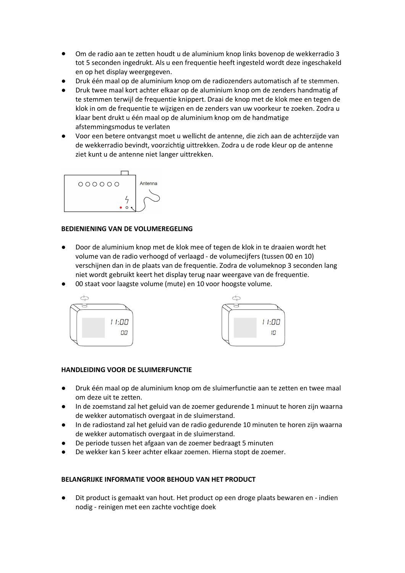- Om de radio aan te zetten houdt u de aluminium knop links bovenop de wekkerradio 3 tot 5 seconden ingedrukt. Als u een frequentie heeft ingesteld wordt deze ingeschakeld en op het display weergegeven.
- Druk één maal op de aluminium knop om de radiozenders automatisch af te stemmen.
- Druk twee maal kort achter elkaar op de aluminium knop om de zenders handmatig af te stemmen terwijl de frequentie knippert. Draai de knop met de klok mee en tegen de klok in om de frequentie te wijzigen en de zenders van uw voorkeur te zoeken. Zodra u klaar bent drukt u één maal op de aluminium knop om de handmatige afstemmingsmodus te verlaten
- Voor een betere ontvangst moet u wellicht de antenne, die zich aan de achterzijde van de wekkerradio bevindt, voorzichtig uittrekken. Zodra u de rode kleur op de antenne ziet kunt u de antenne niet langer uittrekken.



# **BEDIENIENING VAN DE VOLUMEREGELING**

- Door de aluminium knop met de klok mee of tegen de klok in te draaien wordt het volume van de radio verhoogd of verlaagd - de volumecijfers (tussen 00 en 10) verschijnen dan in de plaats van de frequentie. Zodra de volumeknop 3 seconden lang niet wordt gebruikt keert het display terug naar weergave van de frequentie.
- 00 staat voor laagste volume (mute) en 10 voor hoogste volume.





# **HANDLEIDING VOOR DE SLUIMERFUNCTIE**

- Druk één maal op de aluminium knop om de sluimerfunctie aan te zetten en twee maal om deze uit te zetten.
- In de zoemstand zal het geluid van de zoemer gedurende 1 minuut te horen zijn waarna de wekker automatisch overgaat in de sluimerstand.
- In de radiostand zal het geluid van de radio gedurende 10 minuten te horen zijn waarna de wekker automatisch overgaat in de sluimerstand.
- De periode tussen het afgaan van de zoemer bedraagt 5 minuten
- De wekker kan 5 keer achter elkaar zoemen. Hierna stopt de zoemer.

# **BELANGRIJKE INFORMATIE VOOR BEHOUD VAN HET PRODUCT**

Dit product is gemaakt van hout. Het product op een droge plaats bewaren en - indien nodig - reinigen met een zachte vochtige doek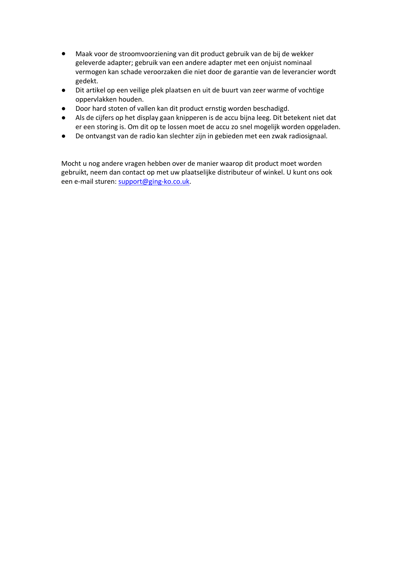- Maak voor de stroomvoorziening van dit product gebruik van de bijde wekker geleverde adapter; gebruik van een andere adapter met een onjuist nominaal vermogen kan schade veroorzaken die niet door de garantie van de leverancier wordt gedekt.
- Dit artikel op een veilige plek plaatsen en uit de buurt van zeer warme of vochtige oppervlakken houden.
- Door hard stoten of vallen kan dit product ernstig worden beschadigd.
- Als de cijfers op het display gaan knipperen is de accu bijna leeg. Dit betekent niet dat er een storing is. Om dit op te lossen moet de accu zo snel mogelijk worden opgeladen.
- De ontvangst van de radio kan slechter zijn in gebieden met een zwak radiosignaal.

Mocht u nog andere vragen hebben over de manier waarop dit product moet worden gebruikt, neem dan contact op met uw plaatselijke distributeur of winkel. U kunt ons ook een e-mail sturen: [support@ging-ko.co.uk](mailto:support@ging-ko.co.uk).